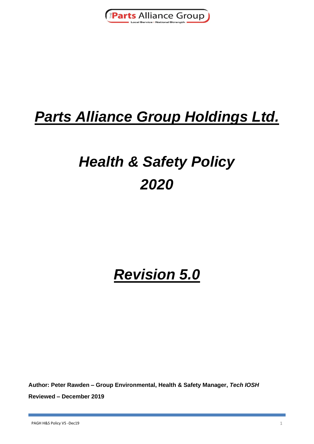

## *Parts Alliance Group Holdings Ltd.*

# *Health & Safety Policy 2020*

## *Revision 5.0*

**Author: Peter Rawden – Group Environmental, Health & Safety Manager,** *Tech IOSH* **Reviewed – December 2019**

PAGH H&S Policy V5 -Dec19 1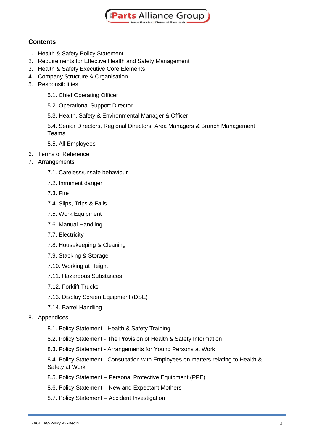

### **Contents**

- 1. Health & Safety Policy Statement
- 2. Requirements for Effective Health and Safety Management
- 3. Health & Safety Executive Core Elements
- 4. Company Structure & Organisation
- 5. Responsibilities
	- 5.1. Chief Operating Officer
	- 5.2. Operational Support Director
	- 5.3. Health, Safety & Environmental Manager & Officer

5.4. Senior Directors, Regional Directors, Area Managers & Branch Management Teams

- 5.5. All Employees
- 6. Terms of Reference
- 7. Arrangements
	- 7.1. Careless/unsafe behaviour
	- 7.2. Imminent danger
	- 7.3. Fire
	- 7.4. Slips, Trips & Falls
	- 7.5. Work Equipment
	- 7.6. Manual Handling
	- 7.7. Electricity
	- 7.8. Housekeeping & Cleaning
	- 7.9. Stacking & Storage
	- 7.10. Working at Height
	- 7.11. Hazardous Substances
	- 7.12. Forklift Trucks
	- 7.13. Display Screen Equipment (DSE)
	- 7.14. Barrel Handling
- 8. Appendices
	- 8.1. Policy Statement Health & Safety Training
	- 8.2. Policy Statement The Provision of Health & Safety Information
	- 8.3. Policy Statement Arrangements for Young Persons at Work

8.4. Policy Statement - Consultation with Employees on matters relating to Health & Safety at Work

- 8.5. Policy Statement Personal Protective Equipment (PPE)
- 8.6. Policy Statement New and Expectant Mothers
- 8.7. Policy Statement Accident Investigation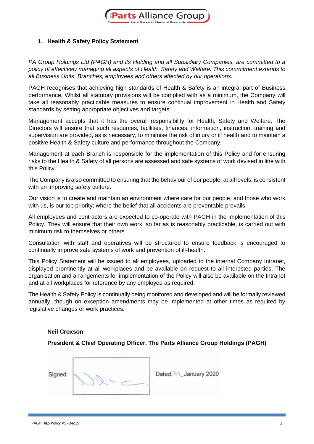

#### **1. Health & Safety Policy Statement**

*PA Group Holdings Ltd (PAGH) and its Holding and all Subsidiary Companies, are committed to a policy of effectively managing all aspects of Health, Safety and Welfare. This commitment extends to all Business Units, Branches, employees and others affected by our operations.*

PAGH recognises that achieving high standards of Health & Safety is an integral part of Business performance. Whilst all statutory provisions will be complied with as a minimum, the Company will take all reasonably practicable measures to ensure continual improvement in Health and Safety standards by setting appropriate objectives and targets.

Management accepts that it has the overall responsibility for Health, Safety and Welfare. The Directors will ensure that such resources, facilities, finances, information, instruction, training and supervision are provided, as is necessary, to minimise the risk of injury or ill health and to maintain a positive Health & Safety culture and performance throughout the Company.

Management at each Branch is responsible for the implementation of this Policy and for ensuring risks to the Health & Safety of all persons are assessed and safe systems of work devised in line with this Policy.

The Company is also committed to ensuring that the behaviour of our people, at all levels, is consistent with an improving safety culture.

Our vision is to create and maintain an environment where care for our people, and those who work with us, is our top priority; where the belief that all accidents are preventable prevails.

All employees and contractors are expected to co-operate with PAGH in the implementation of this Policy. They will ensure that their own work, so far as is reasonably practicable, is carried out with minimum risk to themselves or others.

Consultation with staff and operatives will be structured to ensure feedback is encouraged to continually improve safe systems of work and prevention of ill-health.

This Policy Statement will be issued to all employees, uploaded to the internal Company Intranet, displayed prominently at all workplaces and be available on request to all interested parties. The organisation and arrangements for implementation of the Policy will also be available on the Intranet and at all workplaces for reference by any employee as required.

The Health & Safety Policy is continually being monitored and developed and will be formally reviewed annually, though on exception amendments may be implemented at other times as required by legislative changes or work practices.

#### **Neil Croxson**

**President & Chief Operating Officer, The Parts Alliance Group Holdings (PAGH)**

Sianed:

Dated: 27 January 2020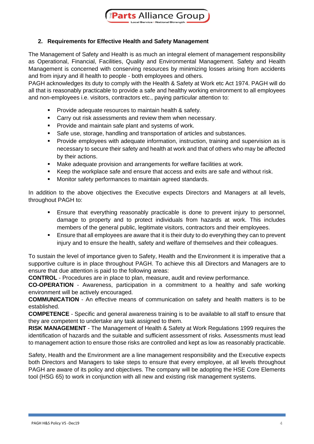

#### **2. Requirements for Effective Health and Safety Management**

The Management of Safety and Health is as much an integral element of management responsibility as Operational, Financial, Facilities, Quality and Environmental Management. Safety and Health Management is concerned with conserving resources by minimizing losses arising from accidents and from injury and ill health to people - both employees and others.

PAGH acknowledges its duty to comply with the Health & Safety at Work etc Act 1974. PAGH will do all that is reasonably practicable to provide a safe and healthy working environment to all employees and non-employees i.e. visitors, contractors etc., paying particular attention to:

- **•** Provide adequate resources to maintain health & safety.
- Carry out risk assessments and review them when necessary.
- Provide and maintain safe plant and systems of work.
- Safe use, storage, handling and transportation of articles and substances.
- **•** Provide employees with adequate information, instruction, training and supervision as is necessary to secure their safety and health at work and that of others who may be affected by their actions.
- Make adequate provision and arrangements for welfare facilities at work.
- Keep the workplace safe and ensure that access and exits are safe and without risk.
- Monitor safety performances to maintain agreed standards.

In addition to the above objectives the Executive expects Directors and Managers at all levels, throughout PAGH to:

- Ensure that everything reasonably practicable is done to prevent injury to personnel, damage to property and to protect individuals from hazards at work. This includes members of the general public, legitimate visitors, contractors and their employees.
- Ensure that all employees are aware that it is their duty to do everything they can to prevent injury and to ensure the health, safety and welfare of themselves and their colleagues.

To sustain the level of importance given to Safety, Health and the Environment it is imperative that a supportive culture is in place throughout PAGH. To achieve this all Directors and Managers are to ensure that due attention is paid to the following areas:

**CONTROL** - Procedures are in place to plan, measure, audit and review performance.

**CO-OPERATION** - Awareness, participation in a commitment to a healthy and safe working environment will be actively encouraged.

**COMMUNICATION** - An effective means of communication on safety and health matters is to be established.

**COMPETENCE** - Specific and general awareness training is to be available to all staff to ensure that they are competent to undertake any task assigned to them.

**RISK MANAGEMENT** - The Management of Health & Safety at Work Regulations 1999 requires the identification of hazards and the suitable and sufficient assessment of risks. Assessments must lead to management action to ensure those risks are controlled and kept as low as reasonably practicable.

Safety, Health and the Environment are a line management responsibility and the Executive expects both Directors and Managers to take steps to ensure that every employee, at all levels throughout PAGH are aware of its policy and objectives. The company will be adopting the HSE Core Elements tool (HSG 65) to work in conjunction with all new and existing risk management systems.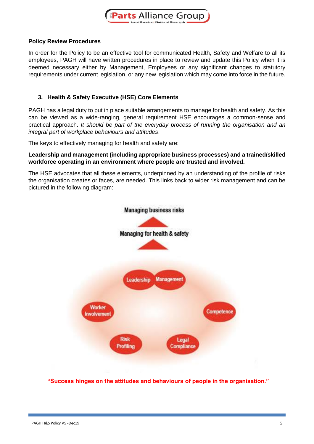

#### **Policy Review Procedures**

In order for the Policy to be an effective tool for communicated Health, Safety and Welfare to all its employees, PAGH will have written procedures in place to review and update this Policy when it is deemed necessary either by Management, Employees or any significant changes to statutory requirements under current legislation, or any new legislation which may come into force in the future.

#### **3. Health & Safety Executive (HSE) Core Elements**

PAGH has a legal duty to put in place suitable arrangements to manage for health and safety. As this can be viewed as a wide-ranging, general requirement HSE encourages a common-sense and practical approach. *It should be part of the everyday process of running the organisation and an integral part of workplace behaviours and attitudes*.

The keys to effectively managing for health and safety are:

#### **Leadership and management (including appropriate business processes) and a trained/skilled workforce operating in an environment where people are trusted and involved.**

The HSE advocates that all these elements, underpinned by an understanding of the profile of risks the organisation creates or faces, are needed. This links back to wider risk management and can be pictured in the following diagram:



**"Success hinges on the attitudes and behaviours of people in the organisation."**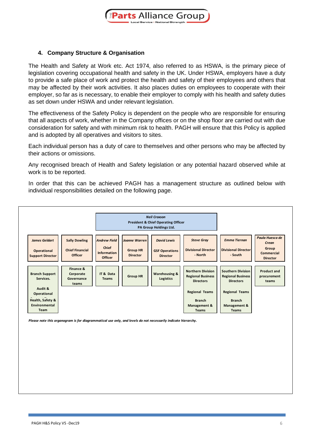

#### **4. Company Structure & Organisation**

The Health and Safety at Work etc. Act 1974, also referred to as HSWA, is the primary piece of legislation covering occupational health and safety in the UK. Under HSWA, employers have a duty to provide a safe place of work and protect the health and safety of their employees and others that may be affected by their work activities. It also places duties on employees to cooperate with their employer, so far as is necessary, to enable their employer to comply with his health and safety duties as set down under HSWA and under relevant legislation.

The effectiveness of the Safety Policy is dependent on the people who are responsible for ensuring that all aspects of work, whether in the Company offices or on the shop floor are carried out with due consideration for safety and with minimum risk to health. PAGH will ensure that this Policy is applied and is adopted by all operatives and visitors to sites.

Each individual person has a duty of care to themselves and other persons who may be affected by their actions or omissions.

Any recognised breach of Health and Safety legislation or any potential hazard observed while at work is to be reported.

In order that this can be achieved PAGH has a management structure as outlined below with individual responsibilities detailed on the following page.



*Please note this organogram is for diagrammatical use only, and levels do not necessarily indicate hierarchy.*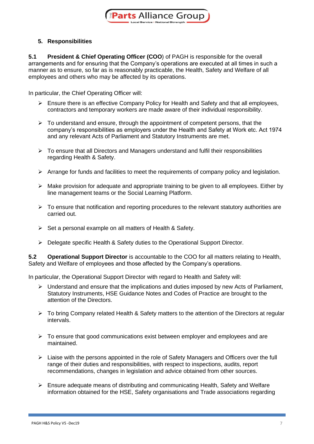

#### **5. Responsibilities**

**5.1 President & Chief Operating Officer (COO**) of PAGH is responsible for the overall arrangements and for ensuring that the Company's operations are executed at all times in such a manner as to ensure, so far as is reasonably practicable, the Health, Safety and Welfare of all employees and others who may be affected by its operations.

In particular, the Chief Operating Officer will:

- ➢ Ensure there is an effective Company Policy for Health and Safety and that all employees, contractors and temporary workers are made aware of their individual responsibility.
- $\triangleright$  To understand and ensure, through the appointment of competent persons, that the company's responsibilities as employers under the Health and Safety at Work etc. Act 1974 and any relevant Acts of Parliament and Statutory Instruments are met.
- ➢ To ensure that all Directors and Managers understand and fulfil their responsibilities regarding Health & Safety.
- $\triangleright$  Arrange for funds and facilities to meet the requirements of company policy and legislation.
- $\triangleright$  Make provision for adequate and appropriate training to be given to all employees. Either by line management teams or the Social Learning Platform.
- $\triangleright$  To ensure that notification and reporting procedures to the relevant statutory authorities are carried out.
- ➢ Set a personal example on all matters of Health & Safety.
- ➢ Delegate specific Health & Safety duties to the Operational Support Director.

**5.2 Operational Support Director** is accountable to the COO for all matters relating to Health, Safety and Welfare of employees and those affected by the Company's operations.

In particular, the Operational Support Director with regard to Health and Safety will:

- $\triangleright$  Understand and ensure that the implications and duties imposed by new Acts of Parliament, Statutory Instruments, HSE Guidance Notes and Codes of Practice are brought to the attention of the Directors.
- $\triangleright$  To bring Company related Health & Safety matters to the attention of the Directors at regular intervals.
- ➢ To ensure that good communications exist between employer and employees and are maintained.
- ➢ Liaise with the persons appointed in the role of Safety Managers and Officers over the full range of their duties and responsibilities, with respect to inspections, audits, report recommendations, changes in legislation and advice obtained from other sources.
- ➢ Ensure adequate means of distributing and communicating Health, Safety and Welfare information obtained for the HSE, Safety organisations and Trade associations regarding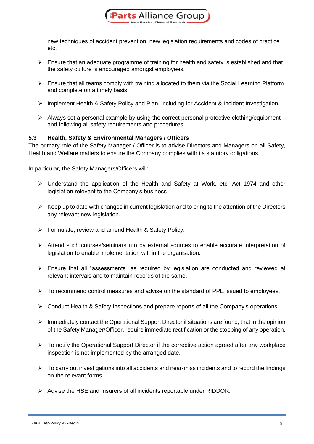

new techniques of accident prevention, new legislation requirements and codes of practice etc.

- $\triangleright$  Ensure that an adequate programme of training for health and safety is established and that the safety culture is encouraged amongst employees.
- ➢ Ensure that all teams comply with training allocated to them via the Social Learning Platform and complete on a timely basis.
- ➢ Implement Health & Safety Policy and Plan, including for Accident & Incident Investigation.
- ➢ Always set a personal example by using the correct personal protective clothing/equipment and following all safety requirements and procedures.

#### **5.3 Health, Safety & Environmental Managers / Officers**

The primary role of the Safety Manager / Officer is to advise Directors and Managers on all Safety, Health and Welfare matters to ensure the Company complies with its statutory obligations.

In particular, the Safety Managers/Officers will:

- ➢ Understand the application of the Health and Safety at Work, etc. Act 1974 and other legislation relevant to the Company's business.
- $\triangleright$  Keep up to date with changes in current legislation and to bring to the attention of the Directors any relevant new legislation.
- ➢ Formulate, review and amend Health & Safety Policy.
- ➢ Attend such courses/seminars run by external sources to enable accurate interpretation of legislation to enable implementation within the organisation.
- ➢ Ensure that all "assessments" as required by legislation are conducted and reviewed at relevant intervals and to maintain records of the same.
- $\triangleright$  To recommend control measures and advise on the standard of PPE issued to employees.
- ➢ Conduct Health & Safety Inspections and prepare reports of all the Company's operations.
- ➢ Immediately contact the Operational Support Director if situations are found, that in the opinion of the Safety Manager/Officer, require immediate rectification or the stopping of any operation.
- ➢ To notify the Operational Support Director if the corrective action agreed after any workplace inspection is not implemented by the arranged date.
- $\triangleright$  To carry out investigations into all accidents and near-miss incidents and to record the findings on the relevant forms.
- ➢ Advise the HSE and Insurers of all incidents reportable under RIDDOR.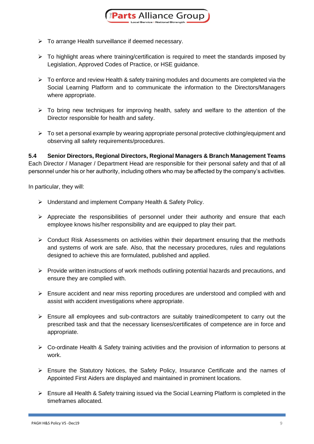- ➢ To arrange Health surveillance if deemed necessary.
- ➢ To highlight areas where training/certification is required to meet the standards imposed by Legislation, Approved Codes of Practice, or HSE guidance.
- $\triangleright$  To enforce and review Health & safety training modules and documents are completed via the Social Learning Platform and to communicate the information to the Directors/Managers where appropriate.
- ➢ To bring new techniques for improving health, safety and welfare to the attention of the Director responsible for health and safety.
- $\triangleright$  To set a personal example by wearing appropriate personal protective clothing/equipment and observing all safety requirements/procedures.

**5.4 Senior Directors, Regional Directors, Regional Managers & Branch Management Teams** Each Director / Manager / Department Head are responsible for their personal safety and that of all personnel under his or her authority, including others who may be affected by the company's activities.

In particular, they will:

- ➢ Understand and implement Company Health & Safety Policy.
- ➢ Appreciate the responsibilities of personnel under their authority and ensure that each employee knows his/her responsibility and are equipped to play their part.
- $\triangleright$  Conduct Risk Assessments on activities within their department ensuring that the methods and systems of work are safe. Also, that the necessary procedures, rules and regulations designed to achieve this are formulated, published and applied.
- $\triangleright$  Provide written instructions of work methods outlining potential hazards and precautions, and ensure they are complied with.
- ➢ Ensure accident and near miss reporting procedures are understood and complied with and assist with accident investigations where appropriate.
- ➢ Ensure all employees and sub-contractors are suitably trained/competent to carry out the prescribed task and that the necessary licenses/certificates of competence are in force and appropriate.
- ➢ Co-ordinate Health & Safety training activities and the provision of information to persons at work.
- ➢ Ensure the Statutory Notices, the Safety Policy, Insurance Certificate and the names of Appointed First Aiders are displayed and maintained in prominent locations.
- $\triangleright$  Ensure all Health & Safety training issued via the Social Learning Platform is completed in the timeframes allocated.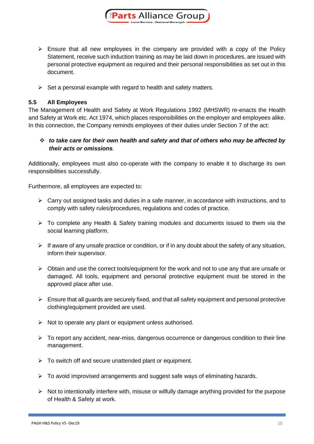

- ➢ Ensure that all new employees in the company are provided with a copy of the Policy Statement, receive such induction training as may be laid down in procedures, are issued with personal protective equipment as required and their personal responsibilities as set out in this document.
- $\triangleright$  Set a personal example with regard to health and safety matters.

#### **5.5 All Employees**

The Management of Health and Safety at Work Regulations 1992 (MHSWR) re-enacts the Health and Safety at Work etc. Act 1974, which places responsibilities on the employer and employees alike. In this connection, the Company reminds employees of their duties under Section 7 of the act:

#### ❖ *to take care for their own health and safety and that of others who may be affected by their acts or omissions.*

Additionally, employees must also co-operate with the company to enable it to discharge its own responsibilities successfully.

Furthermore, all employees are expected to:

- $\triangleright$  Carry out assigned tasks and duties in a safe manner, in accordance with instructions, and to comply with safety rules/procedures, regulations and codes of practice.
- $\triangleright$  To complete any Health & Safety training modules and documents issued to them via the social learning platform.
- $\triangleright$  If aware of any unsafe practice or condition, or if in any doubt about the safety of any situation, inform their supervisor.
- $\triangleright$  Obtain and use the correct tools/equipment for the work and not to use any that are unsafe or damaged. All tools, equipment and personal protective equipment must be stored in the approved place after use.
- $\triangleright$  Ensure that all guards are securely fixed, and that all safety equipment and personal protective clothing/equipment provided are used.
- ➢ Not to operate any plant or equipment unless authorised.
- $\triangleright$  To report any accident, near-miss, dangerous occurrence or dangerous condition to their line management.
- $\triangleright$  To switch off and secure unattended plant or equipment.
- ➢ To avoid improvised arrangements and suggest safe ways of eliminating hazards.
- ➢ Not to intentionally interfere with, misuse or wilfully damage anything provided for the purpose of Health & Safety at work.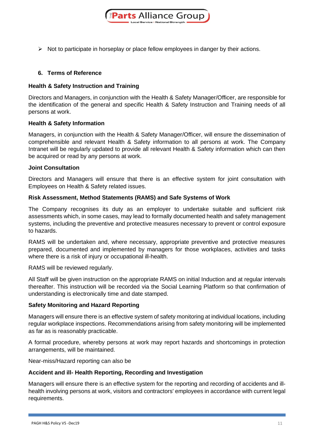

➢ Not to participate in horseplay or place fellow employees in danger by their actions.

#### **6. Terms of Reference**

#### **Health & Safety Instruction and Training**

Directors and Managers, in conjunction with the Health & Safety Manager/Officer, are responsible for the identification of the general and specific Health & Safety Instruction and Training needs of all persons at work.

#### **Health & Safety Information**

Managers, in conjunction with the Health & Safety Manager/Officer, will ensure the dissemination of comprehensible and relevant Health & Safety information to all persons at work. The Company Intranet will be regularly updated to provide all relevant Health & Safety information which can then be acquired or read by any persons at work.

#### **Joint Consultation**

Directors and Managers will ensure that there is an effective system for joint consultation with Employees on Health & Safety related issues.

#### **Risk Assessment, Method Statements (RAMS) and Safe Systems of Work**

The Company recognises its duty as an employer to undertake suitable and sufficient risk assessments which, in some cases, may lead to formally documented health and safety management systems, including the preventive and protective measures necessary to prevent or control exposure to hazards.

RAMS will be undertaken and, where necessary, appropriate preventive and protective measures prepared, documented and implemented by managers for those workplaces, activities and tasks where there is a risk of injury or occupational ill-health.

RAMS will be reviewed regularly.

All Staff will be given instruction on the appropriate RAMS on initial Induction and at regular intervals thereafter. This instruction will be recorded via the Social Learning Platform so that confirmation of understanding is electronically time and date stamped.

#### **Safety Monitoring and Hazard Reporting**

Managers will ensure there is an effective system of safety monitoring at individual locations, including regular workplace inspections. Recommendations arising from safety monitoring will be implemented as far as is reasonably practicable.

A formal procedure, whereby persons at work may report hazards and shortcomings in protection arrangements, will be maintained.

Near-miss/Hazard reporting can also be

#### **Accident and ill- Health Reporting, Recording and Investigation**

Managers will ensure there is an effective system for the reporting and recording of accidents and illhealth involving persons at work, visitors and contractors' employees in accordance with current legal requirements.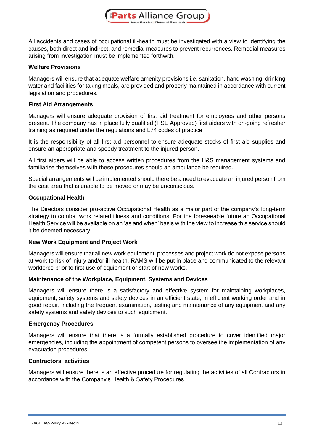

All accidents and cases of occupational ill-health must be investigated with a view to identifying the causes, both direct and indirect, and remedial measures to prevent recurrences. Remedial measures arising from investigation must be implemented forthwith.

#### **Welfare Provisions**

Managers will ensure that adequate welfare amenity provisions i.e. sanitation, hand washing, drinking water and facilities for taking meals, are provided and properly maintained in accordance with current legislation and procedures.

#### **First Aid Arrangements**

Managers will ensure adequate provision of first aid treatment for employees and other persons present. The company has in place fully qualified (HSE Approved) first aiders with on-going refresher training as required under the regulations and L74 codes of practice.

It is the responsibility of all first aid personnel to ensure adequate stocks of first aid supplies and ensure an appropriate and speedy treatment to the injured person.

All first aiders will be able to access written procedures from the H&S management systems and familiarise themselves with these procedures should an ambulance be required.

Special arrangements will be implemented should there be a need to evacuate an injured person from the cast area that is unable to be moved or may be unconscious.

#### **Occupational Health**

The Directors consider pro-active Occupational Health as a major part of the company's long-term strategy to combat work related illness and conditions. For the foreseeable future an Occupational Health Service will be available on an 'as and when' basis with the view to increase this service should it be deemed necessary.

#### **New Work Equipment and Project Work**

Managers will ensure that all new work equipment, processes and project work do not expose persons at work to risk of injury and/or ill-health. RAMS will be put in place and communicated to the relevant workforce prior to first use of equipment or start of new works.

#### **Maintenance of the Workplace, Equipment, Systems and Devices**

Managers will ensure there is a satisfactory and effective system for maintaining workplaces, equipment, safety systems and safety devices in an efficient state, in efficient working order and in good repair, including the frequent examination, testing and maintenance of any equipment and any safety systems and safety devices to such equipment.

#### **Emergency Procedures**

Managers will ensure that there is a formally established procedure to cover identified major emergencies, including the appointment of competent persons to oversee the implementation of any evacuation procedures.

#### **Contractors' activities**

Managers will ensure there is an effective procedure for regulating the activities of all Contractors in accordance with the Company's Health & Safety Procedures.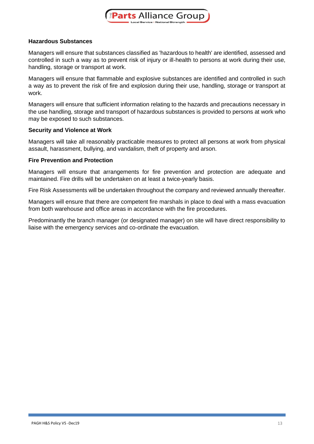

#### **Hazardous Substances**

Managers will ensure that substances classified as 'hazardous to health' are identified, assessed and controlled in such a way as to prevent risk of injury or ill-health to persons at work during their use, handling, storage or transport at work.

Managers will ensure that flammable and explosive substances are identified and controlled in such a way as to prevent the risk of fire and explosion during their use, handling, storage or transport at work.

Managers will ensure that sufficient information relating to the hazards and precautions necessary in the use handling, storage and transport of hazardous substances is provided to persons at work who may be exposed to such substances.

#### **Security and Violence at Work**

Managers will take all reasonably practicable measures to protect all persons at work from physical assault, harassment, bullying, and vandalism, theft of property and arson.

#### **Fire Prevention and Protection**

Managers will ensure that arrangements for fire prevention and protection are adequate and maintained. Fire drills will be undertaken on at least a twice-yearly basis.

Fire Risk Assessments will be undertaken throughout the company and reviewed annually thereafter.

Managers will ensure that there are competent fire marshals in place to deal with a mass evacuation from both warehouse and office areas in accordance with the fire procedures.

Predominantly the branch manager (or designated manager) on site will have direct responsibility to liaise with the emergency services and co-ordinate the evacuation.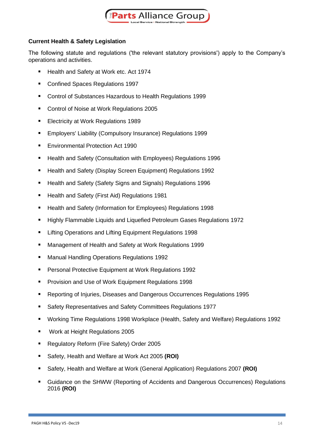

#### **Current Health & Safety Legislation**

The following statute and regulations ('the relevant statutory provisions') apply to the Company's operations and activities.

- Health and Safety at Work etc. Act 1974
- Confined Spaces Regulations 1997
- Control of Substances Hazardous to Health Regulations 1999
- Control of Noise at Work Regulations 2005
- Electricity at Work Regulations 1989
- Employers' Liability (Compulsory Insurance) Regulations 1999
- Environmental Protection Act 1990
- Health and Safety (Consultation with Employees) Regulations 1996
- Health and Safety (Display Screen Equipment) Regulations 1992
- Health and Safety (Safety Signs and Signals) Regulations 1996
- Health and Safety (First Aid) Regulations 1981
- Health and Safety (Information for Employees) Regulations 1998
- Highly Flammable Liquids and Liquefied Petroleum Gases Regulations 1972
- Lifting Operations and Lifting Equipment Regulations 1998
- Management of Health and Safety at Work Regulations 1999
- **Manual Handling Operations Regulations 1992**
- Personal Protective Equipment at Work Regulations 1992
- Provision and Use of Work Equipment Regulations 1998
- Reporting of Injuries, Diseases and Dangerous Occurrences Regulations 1995
- Safety Representatives and Safety Committees Regulations 1977
- Working Time Regulations 1998 Workplace (Health, Safety and Welfare) Regulations 1992
- Work at Height Regulations 2005
- Regulatory Reform (Fire Safety) Order 2005
- Safety, Health and Welfare at Work Act 2005 **(ROI)**
- Safety, Health and Welfare at Work (General Application) Regulations 2007 **(ROI)**
- Guidance on the SHWW (Reporting of Accidents and Dangerous Occurrences) Regulations 2016 **(ROI)**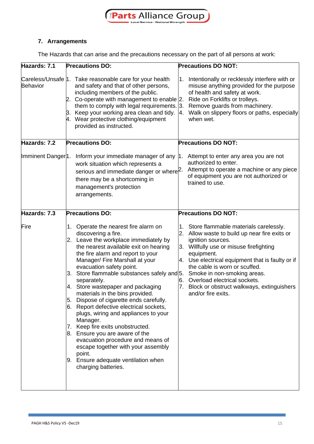

### **7. Arrangements**

The Hazards that can arise and the precautions necessary on the part of all persons at work:

| Hazards: 7.1                   | <b>Precautions DO:</b>                                                                                                                                                                                                                                                                                                                                                                                                                                                                                                                                                                                                                                                                                                                                       | <b>Precautions DO NOT:</b>                                                                                                                                                                                                                                                                                                                                                                           |
|--------------------------------|--------------------------------------------------------------------------------------------------------------------------------------------------------------------------------------------------------------------------------------------------------------------------------------------------------------------------------------------------------------------------------------------------------------------------------------------------------------------------------------------------------------------------------------------------------------------------------------------------------------------------------------------------------------------------------------------------------------------------------------------------------------|------------------------------------------------------------------------------------------------------------------------------------------------------------------------------------------------------------------------------------------------------------------------------------------------------------------------------------------------------------------------------------------------------|
| <b>Behavior</b>                | Careless/Unsafe  1. Take reasonable care for your health<br>and safety and that of other persons,<br>including members of the public.<br>2. Co-operate with management to enable $ 2$ .<br>them to comply with legal requirements. $ 3$ .<br>3. Keep your working area clean and tidy.<br>4. Wear protective clothing/equipment<br>provided as instructed.                                                                                                                                                                                                                                                                                                                                                                                                   | Intentionally or recklessly interfere with or<br>1.<br>misuse anything provided for the purpose<br>of health and safety at work.<br>Ride on Forklifts or trolleys.<br>Remove guards from machinery.<br>Walk on slippery floors or paths, especially<br>4.<br>when wet.                                                                                                                               |
| Hazards: 7.2                   | <b>Precautions DO:</b>                                                                                                                                                                                                                                                                                                                                                                                                                                                                                                                                                                                                                                                                                                                                       | <b>Precautions DO NOT:</b>                                                                                                                                                                                                                                                                                                                                                                           |
| Imminent Danger <sup>1</sup> . | Inform your immediate manager of any 1.<br>work situation which represents a<br>serious and immediate danger or where <sup>[2.]</sup><br>there may be a shortcoming in<br>management's protection<br>arrangements.                                                                                                                                                                                                                                                                                                                                                                                                                                                                                                                                           | Attempt to enter any area you are not<br>authorized to enter.<br>Attempt to operate a machine or any piece<br>of equipment you are not authorized or<br>trained to use.                                                                                                                                                                                                                              |
| Hazards: 7.3                   | <b>Precautions DO:</b>                                                                                                                                                                                                                                                                                                                                                                                                                                                                                                                                                                                                                                                                                                                                       | <b>Precautions DO NOT:</b>                                                                                                                                                                                                                                                                                                                                                                           |
| Fire                           | 1. Operate the nearest fire alarm on<br>discovering a fire.<br>2. Leave the workplace immediately by<br>the nearest available exit on hearing<br>the fire alarm and report to your<br>Manager/ Fire Marshall at your<br>evacuation safety point.<br>3. Store flammable substances safely and 5.<br>separately.<br>4. Store wastepaper and packaging<br>materials in the bins provided.<br>Dispose of cigarette ends carefully.<br>5.<br>6. Report defective electrical sockets,<br>plugs, wiring and appliances to your<br>Manager.<br>7. Keep fire exits unobstructed.<br>8. Ensure you are aware of the<br>evacuation procedure and means of<br>escape together with your assembly<br>point.<br>9. Ensure adequate ventilation when<br>charging batteries. | 1. Store flammable materials carelessly.<br>2. Allow waste to build up near fire exits or<br>ignition sources.<br>3. Willfully use or misuse firefighting<br>equipment.<br>4. Use electrical equipment that is faulty or if<br>the cable is worn or scuffed.<br>Smoke in non-smoking areas.<br>Overload electrical sockets.<br>6.<br>Block or obstruct walkways, extinguishers<br>and/or fire exits. |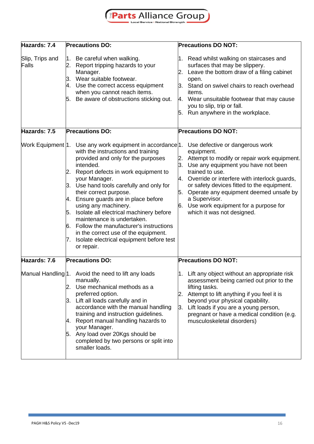

| Hazards: 7.4             | <b>Precautions DO:</b>                                                                                                                                                                                                                                                                                                                                                                                                                                                                                                                                                   | <b>Precautions DO NOT:</b>                                                                                                                                                                                                                                                                                                                                                                                          |
|--------------------------|--------------------------------------------------------------------------------------------------------------------------------------------------------------------------------------------------------------------------------------------------------------------------------------------------------------------------------------------------------------------------------------------------------------------------------------------------------------------------------------------------------------------------------------------------------------------------|---------------------------------------------------------------------------------------------------------------------------------------------------------------------------------------------------------------------------------------------------------------------------------------------------------------------------------------------------------------------------------------------------------------------|
| Slip, Trips and<br>Falls | Be careful when walking.<br>l1.<br>Report tripping hazards to your<br>2.<br>Manager.<br>Wear suitable footwear.<br>З.<br>Use the correct access equipment<br>4.<br>when you cannot reach items.<br>Be aware of obstructions sticking out.<br>5.                                                                                                                                                                                                                                                                                                                          | 1. Read whilst walking on staircases and<br>surfaces that may be slippery.<br>Leave the bottom draw of a filing cabinet<br>2.<br>open.<br>Stand on swivel chairs to reach overhead<br>З.<br>items.<br>4. Wear unsuitable footwear that may cause<br>you to slip, trip or fall.<br>5. Run anywhere in the workplace.                                                                                                 |
| Hazards: 7.5             | <b>Precautions DO:</b>                                                                                                                                                                                                                                                                                                                                                                                                                                                                                                                                                   | <b>Precautions DO NOT:</b>                                                                                                                                                                                                                                                                                                                                                                                          |
| Work Equipment 1.        | Use any work equipment in accordance 1.<br>with the instructions and training<br>provided and only for the purposes<br>intended.<br>Report defects in work equipment to<br>2.<br>your Manager.<br>3. Use hand tools carefully and only for<br>their correct purpose.<br>Ensure guards are in place before<br>4.<br>using any machinery.<br>Isolate all electrical machinery before<br>5.<br>maintenance is undertaken.<br>Follow the manufacturer's instructions<br>in the correct use of the equipment.<br>Isolate electrical equipment before test<br>7.<br>or repair. | Use defective or dangerous work<br>equipment.<br>Attempt to modify or repair work equipment.<br>2.<br>3.<br>Use any equipment you have not been<br>trained to use.<br>Override or interfere with interlock guards,<br>4.<br>or safety devices fitted to the equipment.<br>5.<br>Operate any equipment deemed unsafe by<br>a Supervisor.<br>Use work equipment for a purpose for<br>6.<br>which it was not designed. |
| Hazards: 7.6             | <b>Precautions DO:</b>                                                                                                                                                                                                                                                                                                                                                                                                                                                                                                                                                   | <b>Precautions DO NOT:</b>                                                                                                                                                                                                                                                                                                                                                                                          |
|                          | Manual Handling 1. Avoid the need to lift any loads<br>manually.<br>Use mechanical methods as a<br>2.<br>preferred option.<br>Lift all loads carefully and in<br>3.<br>accordance with the manual handling<br>training and instruction guidelines.<br>Report manual handling hazards to<br>И.<br>your Manager.<br>5. Any load over 20Kgs should be<br>completed by two persons or split into<br>smaller loads.                                                                                                                                                           | 1. Lift any object without an appropriate risk<br>assessment being carried out prior to the<br>lifting tasks.<br>Attempt to lift anything if you feel it is<br>2.<br>beyond your physical capability.<br>Lift loads if you are a young person,<br>3.<br>pregnant or have a medical condition (e.g.<br>musculoskeletal disorders)                                                                                    |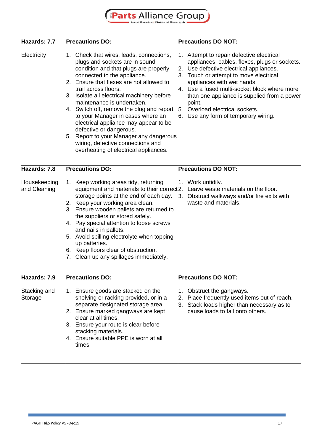### EParts Alliance Group

| Hazards: 7.7                 | <b>Precautions DO:</b>                                                                                                                                                                                                                                                                                                                                                                                                                                                                                                                                                               | <b>Precautions DO NOT:</b>                                                                                                                                                                                                                                                                                                                                                                        |
|------------------------------|--------------------------------------------------------------------------------------------------------------------------------------------------------------------------------------------------------------------------------------------------------------------------------------------------------------------------------------------------------------------------------------------------------------------------------------------------------------------------------------------------------------------------------------------------------------------------------------|---------------------------------------------------------------------------------------------------------------------------------------------------------------------------------------------------------------------------------------------------------------------------------------------------------------------------------------------------------------------------------------------------|
| Electricity                  | 1. Check that wires, leads, connections,<br>plugs and sockets are in sound<br>condition and that plugs are properly<br>connected to the appliance.<br>2. Ensure that flexes are not allowed to<br>trail across floors.<br>3. Isolate all electrical machinery before<br>maintenance is undertaken.<br>Switch off, remove the plug and report<br>4.<br>to your Manager in cases where an<br>electrical appliance may appear to be<br>defective or dangerous.<br>5. Report to your Manager any dangerous<br>wiring, defective connections and<br>overheating of electrical appliances. | 1. Attempt to repair defective electrical<br>appliances, cables, flexes, plugs or sockets.<br>2. Use defective electrical appliances.<br>3. Touch or attempt to move electrical<br>appliances with wet hands.<br>4. Use a fused multi-socket block where more<br>than one appliance is supplied from a power<br>point.<br>5. Overload electrical sockets.<br>6. Use any form of temporary wiring. |
| Hazards: 7.8                 | <b>Precautions DO:</b>                                                                                                                                                                                                                                                                                                                                                                                                                                                                                                                                                               | <b>Precautions DO NOT:</b>                                                                                                                                                                                                                                                                                                                                                                        |
| Housekeeping<br>and Cleaning | Keep working areas tidy, returning<br>1.<br>equipment and materials to their correct <sup>[2]</sup> . Leave waste materials on the floor.<br>storage points at the end of each day.<br>Keep your working area clean.<br>2.<br>Ensure wooden pallets are returned to<br>the suppliers or stored safely.<br>4. Pay special attention to loose screws<br>and nails in pallets.<br>5. Avoid spilling electrolyte when topping<br>up batteries.<br>6. Keep floors clear of obstruction.<br>7. Clean up any spillages immediately.                                                         | 1. Work untidily.<br>3. Obstruct walkways and/or fire exits with<br>waste and materials.                                                                                                                                                                                                                                                                                                          |
| Hazards: 7.9                 | <b>Precautions DO:</b>                                                                                                                                                                                                                                                                                                                                                                                                                                                                                                                                                               | <b>Precautions DO NOT:</b>                                                                                                                                                                                                                                                                                                                                                                        |
| Stacking and<br>Storage      | 1. Ensure goods are stacked on the<br>shelving or racking provided, or in a<br>separate designated storage area.<br>Ensure marked gangways are kept<br>2.<br>clear at all times.<br>3. Ensure your route is clear before<br>stacking materials.<br>4. Ensure suitable PPE is worn at all<br>times.                                                                                                                                                                                                                                                                                   | Obstruct the gangways.<br>1.<br>Place frequently used items out of reach.<br>2.<br>Stack loads higher than necessary as to<br>3.<br>cause loads to fall onto others.                                                                                                                                                                                                                              |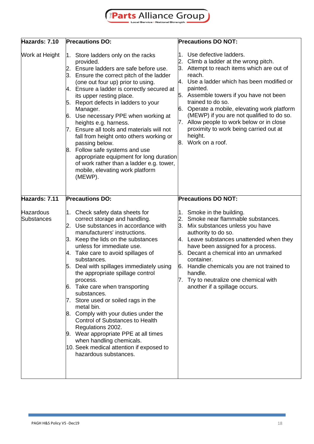# EParts Alliance Group

| Hazards: 7.10           | <b>Precautions DO:</b>                                                                                                                                                                                                                                                                                                                                                                                                                                                                                                                                                                                                                                                                                            | <b>Precautions DO NOT:</b>                                                                                                                                                                                                                                                                                                                                                                                                                                                      |
|-------------------------|-------------------------------------------------------------------------------------------------------------------------------------------------------------------------------------------------------------------------------------------------------------------------------------------------------------------------------------------------------------------------------------------------------------------------------------------------------------------------------------------------------------------------------------------------------------------------------------------------------------------------------------------------------------------------------------------------------------------|---------------------------------------------------------------------------------------------------------------------------------------------------------------------------------------------------------------------------------------------------------------------------------------------------------------------------------------------------------------------------------------------------------------------------------------------------------------------------------|
| Work at Height          | 1. Store ladders only on the racks<br>provided.<br>Ensure ladders are safe before use.<br>2.<br>Ensure the correct pitch of the ladder<br>(one out four up) prior to using.<br>Ensure a ladder is correctly secured at<br>4.<br>its upper resting place.<br>5. Report defects in ladders to your<br>Manager.<br>Use necessary PPE when working at<br>6.<br>heights e.g. harness.<br>Ensure all tools and materials will not<br>7.<br>fall from height onto others working or<br>passing below.<br>8. Follow safe systems and use<br>appropriate equipment for long duration<br>of work rather than a ladder e.g. tower,<br>mobile, elevating work platform<br>(MEWP).                                             | 1. Use defective ladders.<br>2. Climb a ladder at the wrong pitch.<br>3. Attempt to reach items which are out of<br>reach.<br>4. Use a ladder which has been modified or<br>painted.<br>5. Assemble towers if you have not been<br>trained to do so.<br>6. Operate a mobile, elevating work platform<br>(MEWP) if you are not qualified to do so.<br>Allow people to work below or in close<br>7.<br>proximity to work being carried out at<br>height.<br>Work on a roof.<br>8. |
| Hazards: 7.11           | <b>Precautions DO:</b>                                                                                                                                                                                                                                                                                                                                                                                                                                                                                                                                                                                                                                                                                            | <b>Precautions DO NOT:</b>                                                                                                                                                                                                                                                                                                                                                                                                                                                      |
| Hazardous<br>Substances | 1. Check safety data sheets for<br>correct storage and handling.<br>2. Use substances in accordance with<br>manufacturers' instructions.<br>Keep the lids on the substances<br>3.<br>unless for immediate use.<br>Take care to avoid spillages of<br>А.<br>substances.<br>5. Deal with spillages immediately using<br>the appropriate spillage control<br>process.<br>6. Take care when transporting<br>substances.<br>7. Store used or soiled rags in the<br>metal bin.<br>8. Comply with your duties under the<br>Control of Substances to Health<br>Regulations 2002.<br>9. Wear appropriate PPE at all times<br>when handling chemicals.<br>10. Seek medical attention if exposed to<br>hazardous substances. | 1. Smoke in the building.<br>2. Smoke near flammable substances.<br>3. Mix substances unless you have<br>authority to do so.<br>4. Leave substances unattended when they<br>have been assigned for a process.<br>5. Decant a chemical into an unmarked<br>container.<br>6. Handle chemicals you are not trained to<br>handle.<br>7. Try to neutralize one chemical with<br>another if a spillage occurs.                                                                        |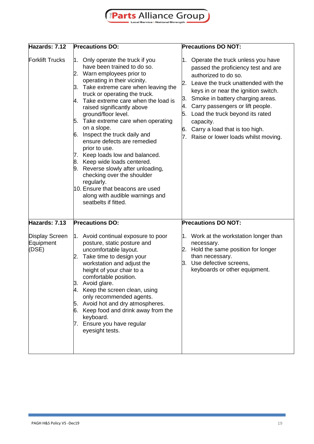

| Hazards: 7.12                                         | <b>Precautions DO:</b>                                                                                                                                                                                                                                                                                                                                                                                                                                                                                                                                                                                                                                                                                  | <b>Precautions DO NOT:</b>                                                                                                                                                                                                                                                                                                                                                                                           |
|-------------------------------------------------------|---------------------------------------------------------------------------------------------------------------------------------------------------------------------------------------------------------------------------------------------------------------------------------------------------------------------------------------------------------------------------------------------------------------------------------------------------------------------------------------------------------------------------------------------------------------------------------------------------------------------------------------------------------------------------------------------------------|----------------------------------------------------------------------------------------------------------------------------------------------------------------------------------------------------------------------------------------------------------------------------------------------------------------------------------------------------------------------------------------------------------------------|
| <b>Forklift Trucks</b>                                | Only operate the truck if you<br>1.<br>have been trained to do so.<br>2. Warn employees prior to<br>operating in their vicinity.<br>3. Take extreme care when leaving the<br>truck or operating the truck.<br>4. Take extreme care when the load is<br>raised significantly above<br>ground/floor level.<br>5. Take extreme care when operating<br>on a slope.<br>Inspect the truck daily and<br>6.<br>ensure defects are remedied<br>prior to use.<br>7. Keep loads low and balanced.<br>8. Keep wide loads centered.<br>9. Reverse slowly after unloading,<br>checking over the shoulder<br>regularly.<br>10. Ensure that beacons are used<br>along with audible warnings and<br>seatbelts if fitted. | Operate the truck unless you have<br>1.<br>passed the proficiency test and are<br>authorized to do so.<br>Leave the truck unattended with the<br>2.<br>keys in or near the ignition switch.<br>Smoke in battery charging areas.<br>3.<br>Carry passengers or lift people.<br>4.<br>Load the truck beyond its rated<br>5.<br>capacity.<br>Carry a load that is too high.<br>6.<br>Raise or lower loads whilst moving. |
| Hazards: 7.13<br>Display Screen<br>Equipment<br>(DSE) | <b>Precautions DO:</b><br>1. Avoid continual exposure to poor<br>posture, static posture and<br>uncomfortable layout.<br>2. Take time to design your<br>workstation and adjust the<br>height of your chair to a<br>comfortable position.<br>Avoid glare.<br>З.<br>4. Keep the screen clean, using<br>only recommended agents.<br>5. Avoid hot and dry atmospheres.<br>6. Keep food and drink away from the<br>keyboard.<br>7. Ensure you have regular                                                                                                                                                                                                                                                   | <b>Precautions DO NOT:</b><br>1. Work at the workstation longer than<br>necessary.<br>Hold the same position for longer<br>2.<br>than necessary.<br>Use defective screens,<br>3.<br>keyboards or other equipment.                                                                                                                                                                                                    |
|                                                       | eyesight tests.                                                                                                                                                                                                                                                                                                                                                                                                                                                                                                                                                                                                                                                                                         |                                                                                                                                                                                                                                                                                                                                                                                                                      |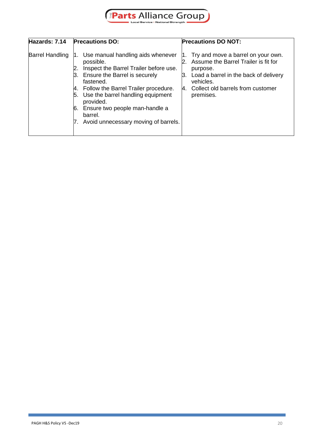

| Hazards: 7.14          | <b>Precautions DO:</b>                                                                                                                                                                                                                                                                                                                  | <b>Precautions DO NOT:</b>                                                                                                                                                                                           |
|------------------------|-----------------------------------------------------------------------------------------------------------------------------------------------------------------------------------------------------------------------------------------------------------------------------------------------------------------------------------------|----------------------------------------------------------------------------------------------------------------------------------------------------------------------------------------------------------------------|
| <b>Barrel Handling</b> | 1. Use manual handling aids whenever<br>possible.<br>Inspect the Barrel Trailer before use.<br>3. Ensure the Barrel is securely<br>fastened.<br>4. Follow the Barrel Trailer procedure.<br>5. Use the barrel handling equipment<br>provided.<br>6. Ensure two people man-handle a<br>barrel.<br>7. Avoid unnecessary moving of barrels. | Try and move a barrel on your own.<br>l1.<br>2. Assume the Barrel Trailer is fit for<br>purpose.<br>Load a barrel in the back of delivery<br>Β.<br>vehicles.<br>Collect old barrels from customer<br>4.<br>premises. |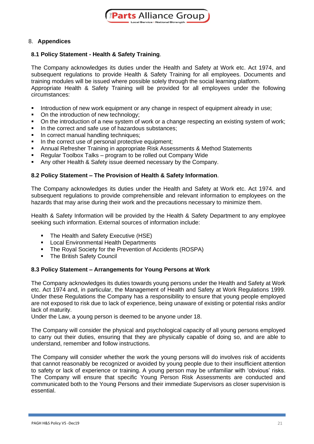

#### 8. **Appendices**

#### **8.1 Policy Statement - Health & Safety Training**.

The Company acknowledges its duties under the Health and Safety at Work etc. Act 1974, and subsequent regulations to provide Health & Safety Training for all employees. Documents and training modules will be issued where possible solely through the social learning platform. Appropriate Health & Safety Training will be provided for all employees under the following circumstances:

- **•** Introduction of new work equipment or any change in respect of equipment already in use;
- On the introduction of new technology;
- On the introduction of a new system of work or a change respecting an existing system of work;
- In the correct and safe use of hazardous substances;
- **•** In correct manual handling techniques;
- **•** In the correct use of personal protective equipment:
- Annual Refresher Training in appropriate Risk Assessments & Method Statements
- Regular Toolbox Talks program to be rolled out Company Wide
- Any other Health & Safety issue deemed necessary by the Company.

#### **8.2 Policy Statement – The Provision of Health & Safety Information**.

The Company acknowledges its duties under the Health and Safety at Work etc. Act 1974. and subsequent regulations to provide comprehensible and relevant information to employees on the hazards that may arise during their work and the precautions necessary to minimize them.

Health & Safety Information will be provided by the Health & Safety Department to any employee seeking such information. External sources of information include:

- The Health and Safety Executive (HSE)
- **EXEC** Local Environmental Health Departments
- **The Royal Society for the Prevention of Accidents (ROSPA)**
- The British Safety Council

#### **8.3 Policy Statement – Arrangements for Young Persons at Work**

The Company acknowledges its duties towards young persons under the Health and Safety at Work etc. Act 1974 and, in particular, the Management of Health and Safety at Work Regulations 1999. Under these Regulations the Company has a responsibility to ensure that young people employed are not exposed to risk due to lack of experience, being unaware of existing or potential risks and/or lack of maturity.

Under the Law, a young person is deemed to be anyone under 18.

The Company will consider the physical and psychological capacity of all young persons employed to carry out their duties, ensuring that they are physically capable of doing so, and are able to understand, remember and follow instructions.

The Company will consider whether the work the young persons will do involves risk of accidents that cannot reasonably be recognized or avoided by young people due to their insufficient attention to safety or lack of experience or training. A young person may be unfamiliar with 'obvious' risks. The Company will ensure that specific Young Person Risk Assessments are conducted and communicated both to the Young Persons and their immediate Supervisors as closer supervision is essential.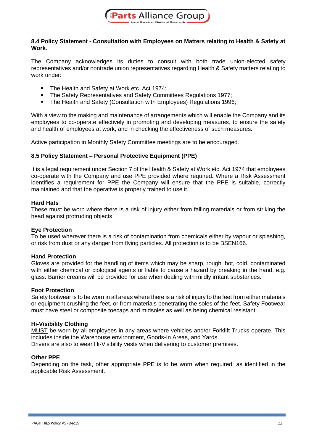

#### **8.4 Policy Statement - Consultation with Employees on Matters relating to Health & Safety at Work**.

The Company acknowledges its duties to consult with both trade union-elected safety representatives and/or nontrade union representatives regarding Health & Safety matters relating to work under:

- The Health and Safety at Work etc. Act 1974;
- The Safety Representatives and Safety Committees Regulations 1977;
- **The Health and Safety (Consultation with Employees) Regulations 1996;**

With a view to the making and maintenance of arrangements which will enable the Company and its employees to co-operate effectively in promoting and developing measures, to ensure the safety and health of employees at work, and in checking the effectiveness of such measures.

Active participation in Monthly Safety Committee meetings are to be encouraged.

#### **8.5 Policy Statement – Personal Protective Equipment (PPE)**

It is a legal requirement under Section 7 of the Health & Safety at Work etc. Act 1974 that employees co-operate with the Company and use PPE provided where required. Where a Risk Assessment identifies a requirement for PPE the Company will ensure that the PPE is suitable, correctly maintained and that the operative is properly trained to use it.

#### **Hard Hats**

These must be worn where there is a risk of injury either from falling materials or from striking the head against protruding objects.

#### **Eye Protection**

To be used wherever there is a risk of contamination from chemicals either by vapour or splashing, or risk from dust or any danger from flying particles. All protection is to be BSEN166.

#### **Hand Protection**

Gloves are provided for the handling of items which may be sharp, rough, hot, cold, contaminated with either chemical or biological agents or liable to cause a hazard by breaking in the hand, e.g. glass. Barrier creams will be provided for use when dealing with mildly irritant substances.

#### **Foot Protection**

Safety footwear is to be worn in all areas where there is a risk of injury to the feet from either materials or equipment crushing the feet, or from materials penetrating the soles of the feet. Safety Footwear must have steel or composite toecaps and midsoles as well as being chemical resistant.

#### **Hi-Visibility Clothing**

MUST be worn by all employees in any areas where vehicles and/or Forklift Trucks operate. This includes inside the Warehouse environment, Goods-In Areas, and Yards. Drivers are also to wear Hi-Visibility vests when delivering to customer premises.

#### **Other PPE**

Depending on the task, other appropriate PPE is to be worn when required, as identified in the applicable Risk Assessment.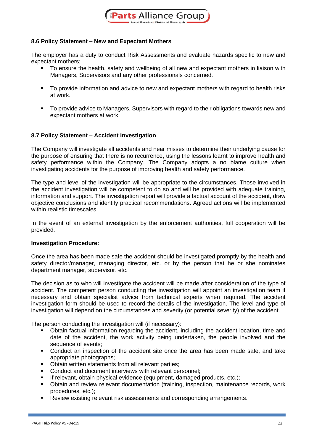

#### **8.6 Policy Statement – New and Expectant Mothers**

The employer has a duty to conduct Risk Assessments and evaluate hazards specific to new and expectant mothers;

- To ensure the health, safety and wellbeing of all new and expectant mothers in liaison with Managers, Supervisors and any other professionals concerned.
- To provide information and advice to new and expectant mothers with regard to health risks at work.
- To provide advice to Managers, Supervisors with regard to their obligations towards new and expectant mothers at work.

#### **8.7 Policy Statement – Accident Investigation**

The Company will investigate all accidents and near misses to determine their underlying cause for the purpose of ensuring that there is no recurrence, using the lessons learnt to improve health and safety performance within the Company. The Company adopts a no blame culture when investigating accidents for the purpose of improving health and safety performance.

The type and level of the investigation will be appropriate to the circumstances. Those involved in the accident investigation will be competent to do so and will be provided with adequate training, information and support. The investigation report will provide a factual account of the accident, draw objective conclusions and identify practical recommendations. Agreed actions will be implemented within realistic timescales.

In the event of an external investigation by the enforcement authorities, full cooperation will be provided.

#### **Investigation Procedure:**

Once the area has been made safe the accident should be investigated promptly by the health and safety director/manager, managing director, etc. or by the person that he or she nominates department manager, supervisor, etc.

The decision as to who will investigate the accident will be made after consideration of the type of accident. The competent person conducting the investigation will appoint an investigation team if necessary and obtain specialist advice from technical experts when required. The accident investigation form should be used to record the details of the investigation. The level and type of investigation will depend on the circumstances and severity (or potential severity) of the accident.

The person conducting the investigation will (if necessary):

- Obtain factual information regarding the accident, including the accident location, time and date of the accident, the work activity being undertaken, the people involved and the sequence of events;
- Conduct an inspection of the accident site once the area has been made safe, and take appropriate photographs;
- Obtain written statements from all relevant parties;
- Conduct and document interviews with relevant personnel;
- If relevant, obtain physical evidence (equipment, damaged products, etc.);
- Obtain and review relevant documentation (training, inspection, maintenance records, work procedures, etc.);
- Review existing relevant risk assessments and corresponding arrangements.